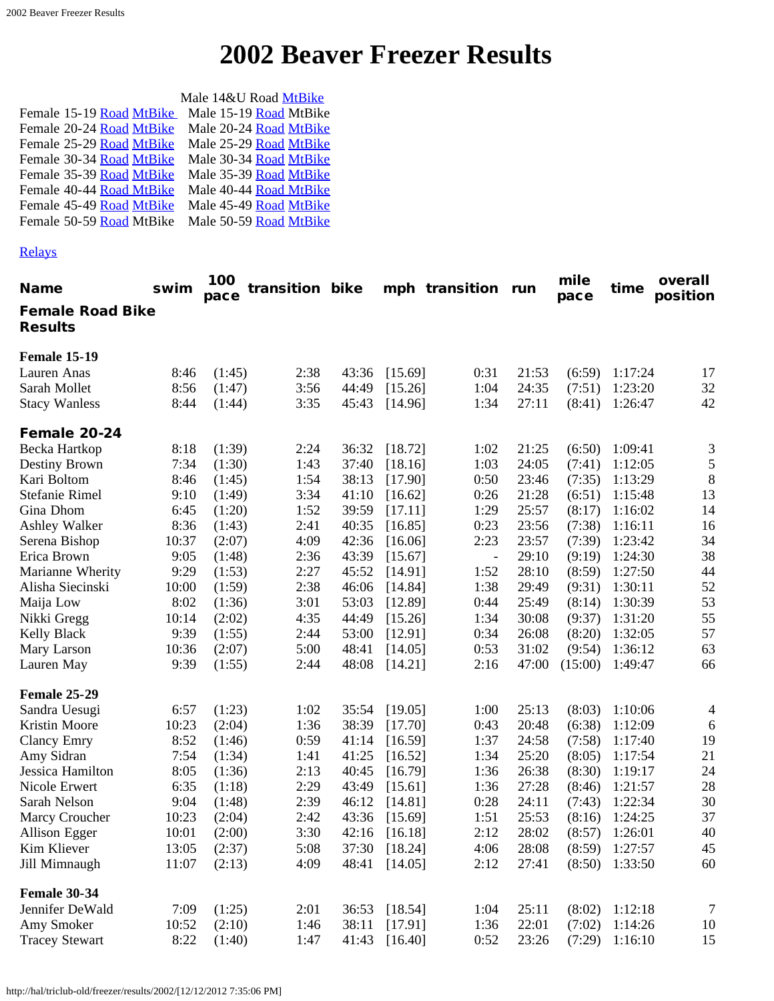|                          | Male 14&U Road MtBike  |
|--------------------------|------------------------|
| Female 15-19 Road MtBike | Male 15-19 Road MtBike |
| Female 20-24 Road MtBike | Male 20-24 Road MtBike |
| Female 25-29 Road MtBike | Male 25-29 Road MtBike |
| Female 30-34 Road MtBike | Male 30-34 Road MtBike |
| Female 35-39 Road MtBike | Male 35-39 Road MtBike |
| Female 40-44 Road MtBike | Male 40-44 Road MtBike |
| Female 45-49 Road MtBike | Male 45-49 Road MtBike |
| Female 50-59 Road MtBike | Male 50-59 Road MtBike |

## [Relays](#page-5-3)

<span id="page-0-3"></span><span id="page-0-2"></span><span id="page-0-1"></span><span id="page-0-0"></span>

| <b>Name</b>                               | swim  | 100<br>pace | transition bike |       |         | mph transition run       |       | mile<br>pace | time    | overall<br>position |
|-------------------------------------------|-------|-------------|-----------------|-------|---------|--------------------------|-------|--------------|---------|---------------------|
| <b>Female Road Bike</b><br><b>Results</b> |       |             |                 |       |         |                          |       |              |         |                     |
| <b>Female 15-19</b>                       |       |             |                 |       |         |                          |       |              |         |                     |
| Lauren Anas                               | 8:46  | (1:45)      | 2:38            | 43:36 | [15.69] | 0:31                     | 21:53 | (6:59)       | 1:17:24 | 17                  |
| Sarah Mollet                              | 8:56  | (1:47)      | 3:56            | 44:49 | [15.26] | 1:04                     | 24:35 | (7:51)       | 1:23:20 | 32                  |
| <b>Stacy Wanless</b>                      | 8:44  | (1:44)      | 3:35            | 45:43 | [14.96] | 1:34                     | 27:11 | (8:41)       | 1:26:47 | 42                  |
| Female 20-24                              |       |             |                 |       |         |                          |       |              |         |                     |
| Becka Hartkop                             | 8:18  | (1:39)      | 2:24            | 36:32 | [18.72] | 1:02                     | 21:25 | (6:50)       | 1:09:41 | 3                   |
| Destiny Brown                             | 7:34  | (1:30)      | 1:43            | 37:40 | [18.16] | 1:03                     | 24:05 | (7:41)       | 1:12:05 | 5                   |
| Kari Boltom                               | 8:46  | (1:45)      | 1:54            | 38:13 | [17.90] | 0:50                     | 23:46 | (7:35)       | 1:13:29 | 8                   |
| Stefanie Rimel                            | 9:10  | (1:49)      | 3:34            | 41:10 | [16.62] | 0:26                     | 21:28 | (6:51)       | 1:15:48 | 13                  |
| Gina Dhom                                 | 6:45  | (1:20)      | 1:52            | 39:59 | [17.11] | 1:29                     | 25:57 | (8:17)       | 1:16:02 | 14                  |
| Ashley Walker                             | 8:36  | (1:43)      | 2:41            | 40:35 | [16.85] | 0:23                     | 23:56 | (7:38)       | 1:16:11 | 16                  |
| Serena Bishop                             | 10:37 | (2:07)      | 4:09            | 42:36 | [16.06] | 2:23                     | 23:57 | (7:39)       | 1:23:42 | 34                  |
| Erica Brown                               | 9:05  | (1:48)      | 2:36            | 43:39 | [15.67] | $\overline{\phantom{a}}$ | 29:10 | (9:19)       | 1:24:30 | 38                  |
| Marianne Wherity                          | 9:29  | (1:53)      | 2:27            | 45:52 | [14.91] | 1:52                     | 28:10 | (8:59)       | 1:27:50 | 44                  |
| Alisha Siecinski                          | 10:00 | (1:59)      | 2:38            | 46:06 | [14.84] | 1:38                     | 29:49 | (9:31)       | 1:30:11 | 52                  |
| Maija Low                                 | 8:02  | (1:36)      | 3:01            | 53:03 | [12.89] | 0:44                     | 25:49 | (8:14)       | 1:30:39 | 53                  |
| Nikki Gregg                               | 10:14 | (2:02)      | 4:35            | 44:49 | [15.26] | 1:34                     | 30:08 | (9:37)       | 1:31:20 | 55                  |
| <b>Kelly Black</b>                        | 9:39  | (1:55)      | 2:44            | 53:00 | [12.91] | 0:34                     | 26:08 | (8:20)       | 1:32:05 | 57                  |
| Mary Larson                               | 10:36 | (2:07)      | 5:00            | 48:41 | [14.05] | 0:53                     | 31:02 | (9:54)       | 1:36:12 | 63                  |
| Lauren May                                | 9:39  | (1:55)      | 2:44            | 48:08 | [14.21] | 2:16                     | 47:00 | (15:00)      | 1:49:47 | 66                  |
| Female 25-29                              |       |             |                 |       |         |                          |       |              |         |                     |
| Sandra Uesugi                             | 6:57  | (1:23)      | 1:02            | 35:54 | [19.05] | 1:00                     | 25:13 | (8:03)       | 1:10:06 | 4                   |
| Kristin Moore                             | 10:23 | (2:04)      | 1:36            | 38:39 | [17.70] | 0:43                     | 20:48 | (6:38)       | 1:12:09 | 6                   |
| <b>Clancy Emry</b>                        | 8:52  | (1:46)      | 0:59            | 41:14 | [16.59] | 1:37                     | 24:58 | (7:58)       | 1:17:40 | 19                  |
| Amy Sidran                                | 7:54  | (1:34)      | 1:41            | 41:25 | [16.52] | 1:34                     | 25:20 | (8:05)       | 1:17:54 | 21                  |
| Jessica Hamilton                          | 8:05  | (1:36)      | 2:13            | 40:45 | [16.79] | 1:36                     | 26:38 | (8:30)       | 1:19:17 | 24                  |
| Nicole Erwert                             | 6:35  | (1:18)      | 2:29            | 43:49 | [15.61] | 1:36                     | 27:28 | (8:46)       | 1:21:57 | 28                  |
| Sarah Nelson                              | 9:04  | (1:48)      | 2:39            | 46:12 | [14.81] | 0:28                     | 24:11 | (7:43)       | 1:22:34 | 30                  |
| Marcy Croucher                            | 10:23 | (2:04)      | 2:42            | 43:36 | [15.69] | 1:51                     | 25:53 | (8:16)       | 1:24:25 | 37                  |
| Allison Egger                             | 10:01 | (2:00)      | 3:30            | 42:16 | [16.18] | 2:12                     | 28:02 | (8:57)       | 1:26:01 | 40                  |
| Kim Kliever                               | 13:05 | (2:37)      | 5:08            | 37:30 | [18.24] | 4:06                     | 28:08 | (8:59)       | 1:27:57 | 45                  |
| Jill Mimnaugh                             | 11:07 | (2:13)      | 4:09            | 48:41 | [14.05] | 2:12                     | 27:41 | (8:50)       | 1:33:50 | 60                  |
| Female 30-34                              |       |             |                 |       |         |                          |       |              |         |                     |
| Jennifer DeWald                           | 7:09  | (1:25)      | 2:01            | 36:53 | [18.54] | 1:04                     | 25:11 | (8:02)       | 1:12:18 | $\boldsymbol{7}$    |
| Amy Smoker                                | 10:52 | (2:10)      | 1:46            | 38:11 | [17.91] | 1:36                     | 22:01 | (7:02)       | 1:14:26 | 10                  |
| <b>Tracey Stewart</b>                     | 8:22  | (1:40)      | 1:47            | 41:43 | [16.40] | 0:52                     | 23:26 | (7:29)       | 1:16:10 | 15                  |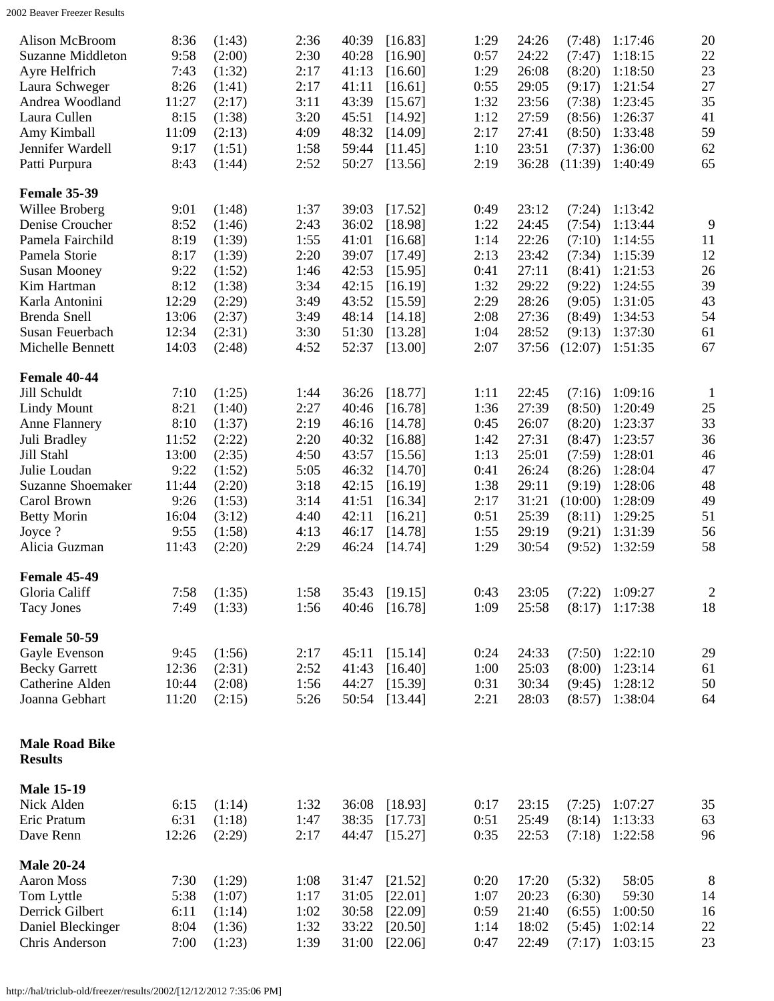<span id="page-1-5"></span><span id="page-1-4"></span><span id="page-1-3"></span><span id="page-1-2"></span><span id="page-1-1"></span><span id="page-1-0"></span>

| Alison McBroom<br><b>Suzanne Middleton</b><br>Ayre Helfrich<br>Laura Schweger<br>Andrea Woodland<br>Laura Cullen<br>Amy Kimball<br>Jennifer Wardell<br>Patti Purpura                                           | 8:36<br>9:58<br>7:43<br>8:26<br>11:27<br>8:15<br>11:09<br>9:17<br>8:43                    | (1:43)<br>(2:00)<br>(1:32)<br>(1:41)<br>(2:17)<br>(1:38)<br>(2:13)<br>(1:51)<br>(1:44)                     | 2:36<br>2:30<br>2:17<br>2:17<br>3:11<br>3:20<br>4:09<br>1:58<br>2:52                 | 40:39<br>40:28<br>41:13<br>41:11<br>43:39<br>45:51<br>48:32<br>59:44<br>50:27                   | [16.83]<br>[16.90]<br>[16.60]<br>[16.61]<br>[15.67]<br>[14.92]<br>[14.09]<br>[11.45]<br>[13.56]                       | 1:29<br>0:57<br>1:29<br>0:55<br>1:32<br>1:12<br>2:17<br>1:10<br>2:19                 | 24:26<br>24:22<br>26:08<br>29:05<br>23:56<br>27:59<br>27:41<br>23:51<br>36:28                   | (7:48)<br>(7:47)<br>(8:20)<br>(9:17)<br>(7:38)<br>(8:56)<br>(8:50)<br>(7:37)<br>(11:39)                     | 1:17:46<br>1:18:15<br>1:18:50<br>1:21:54<br>1:23:45<br>1:26:37<br>1:33:48<br>1:36:00<br>1:40:49                       | 20<br>22<br>23<br>27<br>35<br>41<br>59<br>62<br>65                           |
|----------------------------------------------------------------------------------------------------------------------------------------------------------------------------------------------------------------|-------------------------------------------------------------------------------------------|------------------------------------------------------------------------------------------------------------|--------------------------------------------------------------------------------------|-------------------------------------------------------------------------------------------------|-----------------------------------------------------------------------------------------------------------------------|--------------------------------------------------------------------------------------|-------------------------------------------------------------------------------------------------|-------------------------------------------------------------------------------------------------------------|-----------------------------------------------------------------------------------------------------------------------|------------------------------------------------------------------------------|
| <b>Female 35-39</b><br>Willee Broberg<br>Denise Croucher<br>Pamela Fairchild<br>Pamela Storie<br><b>Susan Mooney</b><br>Kim Hartman<br>Karla Antonini<br>Brenda Snell<br>Susan Feuerbach<br>Michelle Bennett   | 9:01<br>8:52<br>8:19<br>8:17<br>9:22<br>8:12<br>12:29<br>13:06<br>12:34<br>14:03          | (1:48)<br>(1:46)<br>(1:39)<br>(1:39)<br>(1:52)<br>(1:38)<br>(2:29)<br>(2:37)<br>(2:31)<br>(2:48)           | 1:37<br>2:43<br>1:55<br>2:20<br>1:46<br>3:34<br>3:49<br>3:49<br>3:30<br>4:52         | 39:03<br>36:02<br>41:01<br>39:07<br>42:53<br>42:15<br>43:52<br>48:14<br>51:30<br>52:37          | [17.52]<br>[18.98]<br>[16.68]<br>[17.49]<br>[15.95]<br>[16.19]<br>[15.59]<br>[14.18]<br>[13.28]<br>[13.00]            | 0:49<br>1:22<br>1:14<br>2:13<br>0:41<br>1:32<br>2:29<br>2:08<br>1:04<br>2:07         | 23:12<br>24:45<br>22:26<br>23:42<br>27:11<br>29:22<br>28:26<br>27:36<br>28:52<br>37:56          | (7:24)<br>(7:54)<br>(7:10)<br>(7:34)<br>(8:41)<br>(9:22)<br>(9:05)<br>(8:49)<br>(9:13)<br>(12:07)           | 1:13:42<br>1:13:44<br>1:14:55<br>1:15:39<br>1:21:53<br>1:24:55<br>1:31:05<br>1:34:53<br>1:37:30<br>1:51:35            | 9<br>11<br>12<br>26<br>39<br>43<br>54<br>61<br>67                            |
| Female 40-44<br>Jill Schuldt<br><b>Lindy Mount</b><br>Anne Flannery<br>Juli Bradley<br>Jill Stahl<br>Julie Loudan<br><b>Suzanne Shoemaker</b><br>Carol Brown<br><b>Betty Morin</b><br>Joyce ?<br>Alicia Guzman | 7:10<br>8:21<br>8:10<br>11:52<br>13:00<br>9:22<br>11:44<br>9:26<br>16:04<br>9:55<br>11:43 | (1:25)<br>(1:40)<br>(1:37)<br>(2:22)<br>(2:35)<br>(1:52)<br>(2:20)<br>(1:53)<br>(3:12)<br>(1:58)<br>(2:20) | 1:44<br>2:27<br>2:19<br>2:20<br>4:50<br>5:05<br>3:18<br>3:14<br>4:40<br>4:13<br>2:29 | 36:26<br>40:46<br>46:16<br>40:32<br>43:57<br>46:32<br>42:15<br>41:51<br>42:11<br>46:17<br>46:24 | [18.77]<br>[16.78]<br>[14.78]<br>[16.88]<br>[15.56]<br>[14.70]<br>[16.19]<br>[16.34]<br>[16.21]<br>[14.78]<br>[14.74] | 1:11<br>1:36<br>0:45<br>1:42<br>1:13<br>0:41<br>1:38<br>2:17<br>0:51<br>1:55<br>1:29 | 22:45<br>27:39<br>26:07<br>27:31<br>25:01<br>26:24<br>29:11<br>31:21<br>25:39<br>29:19<br>30:54 | (7:16)<br>(8:50)<br>(8:20)<br>(8:47)<br>(7:59)<br>(8:26)<br>(9:19)<br>(10:00)<br>(8:11)<br>(9:21)<br>(9:52) | 1:09:16<br>1:20:49<br>1:23:37<br>1:23:57<br>1:28:01<br>1:28:04<br>1:28:06<br>1:28:09<br>1:29:25<br>1:31:39<br>1:32:59 | $\mathbf{1}$<br>$25\,$<br>33<br>36<br>46<br>47<br>48<br>49<br>51<br>56<br>58 |
| Female 45-49<br>Gloria Califf<br><b>Tacy Jones</b>                                                                                                                                                             | 7:58<br>7:49                                                                              | (1:35)<br>(1:33)                                                                                           | 1:58<br>1:56                                                                         | 40:46                                                                                           | 35:43 [19.15]<br>[16.78]                                                                                              | 0:43<br>1:09                                                                         | 23:05<br>25:58                                                                                  | (8:17)                                                                                                      | $(7:22)$ 1:09:27<br>1:17:38                                                                                           | $\overline{2}$<br>18                                                         |
| <b>Female 50-59</b><br>Gayle Evenson<br><b>Becky Garrett</b><br>Catherine Alden<br>Joanna Gebhart                                                                                                              | 9:45<br>12:36<br>10:44<br>11:20                                                           | (1:56)<br>(2:31)<br>(2:08)<br>(2:15)                                                                       | 2:17<br>2:52<br>1:56<br>5:26                                                         | 45:11<br>41:43<br>44:27<br>50:54                                                                | [15.14]<br>[16.40]<br>[15.39]<br>[13.44]                                                                              | 0:24<br>1:00<br>0:31<br>2:21                                                         | 24:33<br>25:03<br>30:34<br>28:03                                                                | (7:50)<br>(8:00)<br>(9:45)<br>(8:57)                                                                        | 1:22:10<br>1:23:14<br>1:28:12<br>1:38:04                                                                              | 29<br>61<br>50<br>64                                                         |
| <b>Male Road Bike</b><br><b>Results</b>                                                                                                                                                                        |                                                                                           |                                                                                                            |                                                                                      |                                                                                                 |                                                                                                                       |                                                                                      |                                                                                                 |                                                                                                             |                                                                                                                       |                                                                              |
| <b>Male 15-19</b><br>Nick Alden<br>Eric Pratum<br>Dave Renn                                                                                                                                                    | 6:15<br>6:31<br>12:26                                                                     | (1:14)<br>(1:18)<br>(2:29)                                                                                 | 1:32<br>1:47<br>2:17                                                                 | 36:08<br>38:35<br>44:47                                                                         | [18.93]<br>[17.73]<br>[15.27]                                                                                         | 0:17<br>0:51<br>0:35                                                                 | 23:15<br>25:49<br>22:53                                                                         | (7:25)<br>(8:14)<br>(7:18)                                                                                  | 1:07:27<br>1:13:33<br>1:22:58                                                                                         | 35<br>63<br>96                                                               |
| <b>Male 20-24</b><br><b>Aaron Moss</b><br>Tom Lyttle<br>Derrick Gilbert<br>Daniel Bleckinger<br>Chris Anderson                                                                                                 | 7:30<br>5:38<br>6:11<br>8:04<br>7:00                                                      | (1:29)<br>(1:07)<br>(1:14)<br>(1:36)<br>(1:23)                                                             | 1:08<br>1:17<br>1:02<br>1:32<br>1:39                                                 | 31:47<br>31:05<br>30:58<br>33:22<br>31:00                                                       | [21.52]<br>[22.01]<br>[22.09]<br>[20.50]<br>[22.06]                                                                   | 0:20<br>1:07<br>0:59<br>1:14<br>0:47                                                 | 17:20<br>20:23<br>21:40<br>18:02<br>22:49                                                       | (5:32)<br>(6:30)<br>(6:55)<br>(5:45)<br>(7:17)                                                              | 58:05<br>59:30<br>1:00:50<br>1:02:14<br>1:03:15                                                                       | 8<br>14<br>16<br>$22\,$<br>23                                                |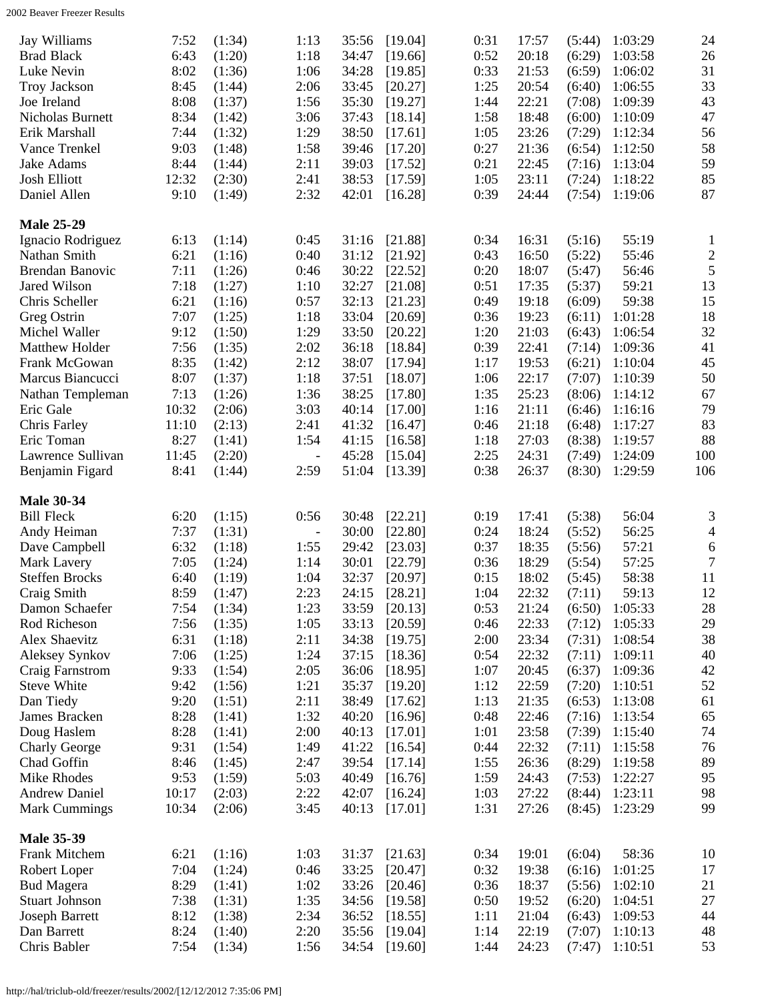<span id="page-2-2"></span><span id="page-2-1"></span><span id="page-2-0"></span>

| 24<br>0:31<br>Jay Williams<br>7:52<br>(1:34)<br>1:13<br>35:56<br>[19.04]<br>17:57<br>1:03:29<br>(5:44)<br>26<br>6:43<br>1:18<br>0:52<br>20:18<br>1:03:58<br><b>Brad Black</b><br>(1:20)<br>34:47<br>[19.66]<br>(6:29)<br>31<br>Luke Nevin<br>8:02<br>1:06<br>0:33<br>21:53<br>(1:36)<br>34:28<br>[19.85]<br>(6:59)<br>1:06:02<br>33<br>8:45<br>2:06<br>1:25<br>Troy Jackson<br>(1:44)<br>33:45<br>20:54<br>(6:40)<br>1:06:55<br>[20.27]<br>43<br>8:08<br>1:56<br>1:44<br>22:21<br>1:09:39<br>Joe Ireland<br>(1:37)<br>35:30<br>(7:08)<br>[19.27]<br>47<br>8:34<br>3:06<br>1:58<br>Nicholas Burnett<br>(1:42)<br>37:43<br>18:48<br>(6:00)<br>1:10:09<br>[18.14]<br>56<br>Erik Marshall<br>7:44<br>1:29<br>38:50<br>1:05<br>23:26<br>1:12:34<br>(1:32)<br>(7:29)<br>[17.61]<br>58<br>9:03<br>1:58<br>0:27<br>21:36<br>1:12:50<br>Vance Trenkel<br>(1:48)<br>39:46<br>[17.20]<br>(6:54)<br>59<br>2:11<br>0:21<br>1:13:04<br>Jake Adams<br>8:44<br>39:03<br>22:45<br>(1:44)<br>[17.52]<br>(7:16)<br>85<br><b>Josh Elliott</b><br>12:32<br>2:41<br>1:05<br>(2:30)<br>38:53<br>23:11<br>1:18:22<br>[17.59]<br>(7:24)<br>87<br>2:32<br>0:39<br>Daniel Allen<br>9:10<br>(1:49)<br>42:01<br>24:44<br>(7:54)<br>1:19:06<br>[16.28]<br><b>Male 25-29</b><br>0:34<br>55:19<br>Ignacio Rodriguez<br>6:13<br>(1:14)<br>0:45<br>31:16<br>[21.88]<br>16:31<br>(5:16)<br>$\mathbf{1}$<br>$\overline{c}$<br>6:21<br>Nathan Smith<br>(1:16)<br>0:40<br>31:12<br>0:43<br>16:50<br>(5:22)<br>55:46<br>[21.92]<br>$\sqrt{5}$<br>7:11<br>0:20<br>Brendan Banovic<br>(1:26)<br>0:46<br>30:22<br>$[22.52]$<br>18:07<br>56:46<br>(5:47)<br>13<br>Jared Wilson<br>0:51<br>59:21<br>7:18<br>(1:27)<br>1:10<br>32:27<br>[21.08]<br>17:35<br>(5:37)<br>15<br>Chris Scheller<br>6:21<br>0:57<br>0:49<br>59:38<br>(1:16)<br>32:13<br>[21.23]<br>19:18<br>(6:09)<br>18<br>7:07<br>0:36<br>19:23<br>Greg Ostrin<br>(1:25)<br>1:18<br>33:04<br>[20.69]<br>(6:11)<br>1:01:28<br>32<br>9:12<br>(1:50)<br>1:29<br>1:20<br>21:03<br>1:06:54<br>Michel Waller<br>33:50<br>[20.22]<br>(6:43)<br>41<br>7:56<br>2:02<br>0:39<br>Matthew Holder<br>(1:35)<br>36:18<br>[18.84]<br>22:41<br>1:09:36<br>(7:14)<br>45<br>Frank McGowan<br>8:35<br>2:12<br>38:07<br>19:53<br>1:10:04<br>(1:42)<br>[17.94]<br>1:17<br>(6:21)<br>50<br>8:07<br>1:18<br>22:17<br>Marcus Biancucci<br>(1:37)<br>37:51<br>[18.07]<br>1:06<br>(7:07)<br>1:10:39<br>67<br>7:13<br>1:36<br>38:25<br>1:35<br>25:23<br>1:14:12<br>Nathan Templeman<br>(1:26)<br>[17.80]<br>(8:06)<br>79<br>10:32<br>3:03<br>21:11<br>Eric Gale<br>(2:06)<br>40:14<br>[17.00]<br>1:16<br>(6:46)<br>1:16:16<br>83<br>11:10<br>(2:13)<br>2:41<br>41:32<br>0:46<br>21:18<br>1:17:27<br>Chris Farley<br>[16.47]<br>(6:48)<br>8:27<br>88<br>1:54<br>27:03<br>Eric Toman<br>(1:41)<br>41:15<br>[16.58]<br>1:18<br>(8:38)<br>1:19:57<br>(2:20)<br>45:28<br>2:25<br>24:31<br>1:24:09<br>100<br>Lawrence Sullivan<br>11:45<br>[15.04]<br>(7:49)<br>$\overline{\phantom{a}}$ |
|------------------------------------------------------------------------------------------------------------------------------------------------------------------------------------------------------------------------------------------------------------------------------------------------------------------------------------------------------------------------------------------------------------------------------------------------------------------------------------------------------------------------------------------------------------------------------------------------------------------------------------------------------------------------------------------------------------------------------------------------------------------------------------------------------------------------------------------------------------------------------------------------------------------------------------------------------------------------------------------------------------------------------------------------------------------------------------------------------------------------------------------------------------------------------------------------------------------------------------------------------------------------------------------------------------------------------------------------------------------------------------------------------------------------------------------------------------------------------------------------------------------------------------------------------------------------------------------------------------------------------------------------------------------------------------------------------------------------------------------------------------------------------------------------------------------------------------------------------------------------------------------------------------------------------------------------------------------------------------------------------------------------------------------------------------------------------------------------------------------------------------------------------------------------------------------------------------------------------------------------------------------------------------------------------------------------------------------------------------------------------------------------------------------------------------------------------------------------------------------------------------------------------------------------------------------------------------------------------------------------------------------------------------------------------------------------------------------------------------------------------------------------------------------------------------------------------------------------------------------------------------------------------------------------------------------------------------------------|
|                                                                                                                                                                                                                                                                                                                                                                                                                                                                                                                                                                                                                                                                                                                                                                                                                                                                                                                                                                                                                                                                                                                                                                                                                                                                                                                                                                                                                                                                                                                                                                                                                                                                                                                                                                                                                                                                                                                                                                                                                                                                                                                                                                                                                                                                                                                                                                                                                                                                                                                                                                                                                                                                                                                                                                                                                                                                                                                                                                        |
|                                                                                                                                                                                                                                                                                                                                                                                                                                                                                                                                                                                                                                                                                                                                                                                                                                                                                                                                                                                                                                                                                                                                                                                                                                                                                                                                                                                                                                                                                                                                                                                                                                                                                                                                                                                                                                                                                                                                                                                                                                                                                                                                                                                                                                                                                                                                                                                                                                                                                                                                                                                                                                                                                                                                                                                                                                                                                                                                                                        |
|                                                                                                                                                                                                                                                                                                                                                                                                                                                                                                                                                                                                                                                                                                                                                                                                                                                                                                                                                                                                                                                                                                                                                                                                                                                                                                                                                                                                                                                                                                                                                                                                                                                                                                                                                                                                                                                                                                                                                                                                                                                                                                                                                                                                                                                                                                                                                                                                                                                                                                                                                                                                                                                                                                                                                                                                                                                                                                                                                                        |
|                                                                                                                                                                                                                                                                                                                                                                                                                                                                                                                                                                                                                                                                                                                                                                                                                                                                                                                                                                                                                                                                                                                                                                                                                                                                                                                                                                                                                                                                                                                                                                                                                                                                                                                                                                                                                                                                                                                                                                                                                                                                                                                                                                                                                                                                                                                                                                                                                                                                                                                                                                                                                                                                                                                                                                                                                                                                                                                                                                        |
|                                                                                                                                                                                                                                                                                                                                                                                                                                                                                                                                                                                                                                                                                                                                                                                                                                                                                                                                                                                                                                                                                                                                                                                                                                                                                                                                                                                                                                                                                                                                                                                                                                                                                                                                                                                                                                                                                                                                                                                                                                                                                                                                                                                                                                                                                                                                                                                                                                                                                                                                                                                                                                                                                                                                                                                                                                                                                                                                                                        |
|                                                                                                                                                                                                                                                                                                                                                                                                                                                                                                                                                                                                                                                                                                                                                                                                                                                                                                                                                                                                                                                                                                                                                                                                                                                                                                                                                                                                                                                                                                                                                                                                                                                                                                                                                                                                                                                                                                                                                                                                                                                                                                                                                                                                                                                                                                                                                                                                                                                                                                                                                                                                                                                                                                                                                                                                                                                                                                                                                                        |
|                                                                                                                                                                                                                                                                                                                                                                                                                                                                                                                                                                                                                                                                                                                                                                                                                                                                                                                                                                                                                                                                                                                                                                                                                                                                                                                                                                                                                                                                                                                                                                                                                                                                                                                                                                                                                                                                                                                                                                                                                                                                                                                                                                                                                                                                                                                                                                                                                                                                                                                                                                                                                                                                                                                                                                                                                                                                                                                                                                        |
|                                                                                                                                                                                                                                                                                                                                                                                                                                                                                                                                                                                                                                                                                                                                                                                                                                                                                                                                                                                                                                                                                                                                                                                                                                                                                                                                                                                                                                                                                                                                                                                                                                                                                                                                                                                                                                                                                                                                                                                                                                                                                                                                                                                                                                                                                                                                                                                                                                                                                                                                                                                                                                                                                                                                                                                                                                                                                                                                                                        |
|                                                                                                                                                                                                                                                                                                                                                                                                                                                                                                                                                                                                                                                                                                                                                                                                                                                                                                                                                                                                                                                                                                                                                                                                                                                                                                                                                                                                                                                                                                                                                                                                                                                                                                                                                                                                                                                                                                                                                                                                                                                                                                                                                                                                                                                                                                                                                                                                                                                                                                                                                                                                                                                                                                                                                                                                                                                                                                                                                                        |
|                                                                                                                                                                                                                                                                                                                                                                                                                                                                                                                                                                                                                                                                                                                                                                                                                                                                                                                                                                                                                                                                                                                                                                                                                                                                                                                                                                                                                                                                                                                                                                                                                                                                                                                                                                                                                                                                                                                                                                                                                                                                                                                                                                                                                                                                                                                                                                                                                                                                                                                                                                                                                                                                                                                                                                                                                                                                                                                                                                        |
|                                                                                                                                                                                                                                                                                                                                                                                                                                                                                                                                                                                                                                                                                                                                                                                                                                                                                                                                                                                                                                                                                                                                                                                                                                                                                                                                                                                                                                                                                                                                                                                                                                                                                                                                                                                                                                                                                                                                                                                                                                                                                                                                                                                                                                                                                                                                                                                                                                                                                                                                                                                                                                                                                                                                                                                                                                                                                                                                                                        |
|                                                                                                                                                                                                                                                                                                                                                                                                                                                                                                                                                                                                                                                                                                                                                                                                                                                                                                                                                                                                                                                                                                                                                                                                                                                                                                                                                                                                                                                                                                                                                                                                                                                                                                                                                                                                                                                                                                                                                                                                                                                                                                                                                                                                                                                                                                                                                                                                                                                                                                                                                                                                                                                                                                                                                                                                                                                                                                                                                                        |
|                                                                                                                                                                                                                                                                                                                                                                                                                                                                                                                                                                                                                                                                                                                                                                                                                                                                                                                                                                                                                                                                                                                                                                                                                                                                                                                                                                                                                                                                                                                                                                                                                                                                                                                                                                                                                                                                                                                                                                                                                                                                                                                                                                                                                                                                                                                                                                                                                                                                                                                                                                                                                                                                                                                                                                                                                                                                                                                                                                        |
|                                                                                                                                                                                                                                                                                                                                                                                                                                                                                                                                                                                                                                                                                                                                                                                                                                                                                                                                                                                                                                                                                                                                                                                                                                                                                                                                                                                                                                                                                                                                                                                                                                                                                                                                                                                                                                                                                                                                                                                                                                                                                                                                                                                                                                                                                                                                                                                                                                                                                                                                                                                                                                                                                                                                                                                                                                                                                                                                                                        |
|                                                                                                                                                                                                                                                                                                                                                                                                                                                                                                                                                                                                                                                                                                                                                                                                                                                                                                                                                                                                                                                                                                                                                                                                                                                                                                                                                                                                                                                                                                                                                                                                                                                                                                                                                                                                                                                                                                                                                                                                                                                                                                                                                                                                                                                                                                                                                                                                                                                                                                                                                                                                                                                                                                                                                                                                                                                                                                                                                                        |
|                                                                                                                                                                                                                                                                                                                                                                                                                                                                                                                                                                                                                                                                                                                                                                                                                                                                                                                                                                                                                                                                                                                                                                                                                                                                                                                                                                                                                                                                                                                                                                                                                                                                                                                                                                                                                                                                                                                                                                                                                                                                                                                                                                                                                                                                                                                                                                                                                                                                                                                                                                                                                                                                                                                                                                                                                                                                                                                                                                        |
|                                                                                                                                                                                                                                                                                                                                                                                                                                                                                                                                                                                                                                                                                                                                                                                                                                                                                                                                                                                                                                                                                                                                                                                                                                                                                                                                                                                                                                                                                                                                                                                                                                                                                                                                                                                                                                                                                                                                                                                                                                                                                                                                                                                                                                                                                                                                                                                                                                                                                                                                                                                                                                                                                                                                                                                                                                                                                                                                                                        |
|                                                                                                                                                                                                                                                                                                                                                                                                                                                                                                                                                                                                                                                                                                                                                                                                                                                                                                                                                                                                                                                                                                                                                                                                                                                                                                                                                                                                                                                                                                                                                                                                                                                                                                                                                                                                                                                                                                                                                                                                                                                                                                                                                                                                                                                                                                                                                                                                                                                                                                                                                                                                                                                                                                                                                                                                                                                                                                                                                                        |
|                                                                                                                                                                                                                                                                                                                                                                                                                                                                                                                                                                                                                                                                                                                                                                                                                                                                                                                                                                                                                                                                                                                                                                                                                                                                                                                                                                                                                                                                                                                                                                                                                                                                                                                                                                                                                                                                                                                                                                                                                                                                                                                                                                                                                                                                                                                                                                                                                                                                                                                                                                                                                                                                                                                                                                                                                                                                                                                                                                        |
|                                                                                                                                                                                                                                                                                                                                                                                                                                                                                                                                                                                                                                                                                                                                                                                                                                                                                                                                                                                                                                                                                                                                                                                                                                                                                                                                                                                                                                                                                                                                                                                                                                                                                                                                                                                                                                                                                                                                                                                                                                                                                                                                                                                                                                                                                                                                                                                                                                                                                                                                                                                                                                                                                                                                                                                                                                                                                                                                                                        |
|                                                                                                                                                                                                                                                                                                                                                                                                                                                                                                                                                                                                                                                                                                                                                                                                                                                                                                                                                                                                                                                                                                                                                                                                                                                                                                                                                                                                                                                                                                                                                                                                                                                                                                                                                                                                                                                                                                                                                                                                                                                                                                                                                                                                                                                                                                                                                                                                                                                                                                                                                                                                                                                                                                                                                                                                                                                                                                                                                                        |
|                                                                                                                                                                                                                                                                                                                                                                                                                                                                                                                                                                                                                                                                                                                                                                                                                                                                                                                                                                                                                                                                                                                                                                                                                                                                                                                                                                                                                                                                                                                                                                                                                                                                                                                                                                                                                                                                                                                                                                                                                                                                                                                                                                                                                                                                                                                                                                                                                                                                                                                                                                                                                                                                                                                                                                                                                                                                                                                                                                        |
|                                                                                                                                                                                                                                                                                                                                                                                                                                                                                                                                                                                                                                                                                                                                                                                                                                                                                                                                                                                                                                                                                                                                                                                                                                                                                                                                                                                                                                                                                                                                                                                                                                                                                                                                                                                                                                                                                                                                                                                                                                                                                                                                                                                                                                                                                                                                                                                                                                                                                                                                                                                                                                                                                                                                                                                                                                                                                                                                                                        |
|                                                                                                                                                                                                                                                                                                                                                                                                                                                                                                                                                                                                                                                                                                                                                                                                                                                                                                                                                                                                                                                                                                                                                                                                                                                                                                                                                                                                                                                                                                                                                                                                                                                                                                                                                                                                                                                                                                                                                                                                                                                                                                                                                                                                                                                                                                                                                                                                                                                                                                                                                                                                                                                                                                                                                                                                                                                                                                                                                                        |
|                                                                                                                                                                                                                                                                                                                                                                                                                                                                                                                                                                                                                                                                                                                                                                                                                                                                                                                                                                                                                                                                                                                                                                                                                                                                                                                                                                                                                                                                                                                                                                                                                                                                                                                                                                                                                                                                                                                                                                                                                                                                                                                                                                                                                                                                                                                                                                                                                                                                                                                                                                                                                                                                                                                                                                                                                                                                                                                                                                        |
|                                                                                                                                                                                                                                                                                                                                                                                                                                                                                                                                                                                                                                                                                                                                                                                                                                                                                                                                                                                                                                                                                                                                                                                                                                                                                                                                                                                                                                                                                                                                                                                                                                                                                                                                                                                                                                                                                                                                                                                                                                                                                                                                                                                                                                                                                                                                                                                                                                                                                                                                                                                                                                                                                                                                                                                                                                                                                                                                                                        |
|                                                                                                                                                                                                                                                                                                                                                                                                                                                                                                                                                                                                                                                                                                                                                                                                                                                                                                                                                                                                                                                                                                                                                                                                                                                                                                                                                                                                                                                                                                                                                                                                                                                                                                                                                                                                                                                                                                                                                                                                                                                                                                                                                                                                                                                                                                                                                                                                                                                                                                                                                                                                                                                                                                                                                                                                                                                                                                                                                                        |
|                                                                                                                                                                                                                                                                                                                                                                                                                                                                                                                                                                                                                                                                                                                                                                                                                                                                                                                                                                                                                                                                                                                                                                                                                                                                                                                                                                                                                                                                                                                                                                                                                                                                                                                                                                                                                                                                                                                                                                                                                                                                                                                                                                                                                                                                                                                                                                                                                                                                                                                                                                                                                                                                                                                                                                                                                                                                                                                                                                        |
|                                                                                                                                                                                                                                                                                                                                                                                                                                                                                                                                                                                                                                                                                                                                                                                                                                                                                                                                                                                                                                                                                                                                                                                                                                                                                                                                                                                                                                                                                                                                                                                                                                                                                                                                                                                                                                                                                                                                                                                                                                                                                                                                                                                                                                                                                                                                                                                                                                                                                                                                                                                                                                                                                                                                                                                                                                                                                                                                                                        |
|                                                                                                                                                                                                                                                                                                                                                                                                                                                                                                                                                                                                                                                                                                                                                                                                                                                                                                                                                                                                                                                                                                                                                                                                                                                                                                                                                                                                                                                                                                                                                                                                                                                                                                                                                                                                                                                                                                                                                                                                                                                                                                                                                                                                                                                                                                                                                                                                                                                                                                                                                                                                                                                                                                                                                                                                                                                                                                                                                                        |
|                                                                                                                                                                                                                                                                                                                                                                                                                                                                                                                                                                                                                                                                                                                                                                                                                                                                                                                                                                                                                                                                                                                                                                                                                                                                                                                                                                                                                                                                                                                                                                                                                                                                                                                                                                                                                                                                                                                                                                                                                                                                                                                                                                                                                                                                                                                                                                                                                                                                                                                                                                                                                                                                                                                                                                                                                                                                                                                                                                        |
|                                                                                                                                                                                                                                                                                                                                                                                                                                                                                                                                                                                                                                                                                                                                                                                                                                                                                                                                                                                                                                                                                                                                                                                                                                                                                                                                                                                                                                                                                                                                                                                                                                                                                                                                                                                                                                                                                                                                                                                                                                                                                                                                                                                                                                                                                                                                                                                                                                                                                                                                                                                                                                                                                                                                                                                                                                                                                                                                                                        |
|                                                                                                                                                                                                                                                                                                                                                                                                                                                                                                                                                                                                                                                                                                                                                                                                                                                                                                                                                                                                                                                                                                                                                                                                                                                                                                                                                                                                                                                                                                                                                                                                                                                                                                                                                                                                                                                                                                                                                                                                                                                                                                                                                                                                                                                                                                                                                                                                                                                                                                                                                                                                                                                                                                                                                                                                                                                                                                                                                                        |
|                                                                                                                                                                                                                                                                                                                                                                                                                                                                                                                                                                                                                                                                                                                                                                                                                                                                                                                                                                                                                                                                                                                                                                                                                                                                                                                                                                                                                                                                                                                                                                                                                                                                                                                                                                                                                                                                                                                                                                                                                                                                                                                                                                                                                                                                                                                                                                                                                                                                                                                                                                                                                                                                                                                                                                                                                                                                                                                                                                        |
| 8:41<br>2:59<br>0:38<br>106<br>Benjamin Figard<br>(1:44)<br>51:04<br>[13.39]<br>26:37<br>(8:30)<br>1:29:59                                                                                                                                                                                                                                                                                                                                                                                                                                                                                                                                                                                                                                                                                                                                                                                                                                                                                                                                                                                                                                                                                                                                                                                                                                                                                                                                                                                                                                                                                                                                                                                                                                                                                                                                                                                                                                                                                                                                                                                                                                                                                                                                                                                                                                                                                                                                                                                                                                                                                                                                                                                                                                                                                                                                                                                                                                                             |
| <b>Male 30-34</b>                                                                                                                                                                                                                                                                                                                                                                                                                                                                                                                                                                                                                                                                                                                                                                                                                                                                                                                                                                                                                                                                                                                                                                                                                                                                                                                                                                                                                                                                                                                                                                                                                                                                                                                                                                                                                                                                                                                                                                                                                                                                                                                                                                                                                                                                                                                                                                                                                                                                                                                                                                                                                                                                                                                                                                                                                                                                                                                                                      |
| 3<br><b>Bill Fleck</b><br>0:56<br>30:48<br>[22.21]<br>0:19<br>(5:38)<br>56:04<br>6:20<br>(1:15)<br>17:41                                                                                                                                                                                                                                                                                                                                                                                                                                                                                                                                                                                                                                                                                                                                                                                                                                                                                                                                                                                                                                                                                                                                                                                                                                                                                                                                                                                                                                                                                                                                                                                                                                                                                                                                                                                                                                                                                                                                                                                                                                                                                                                                                                                                                                                                                                                                                                                                                                                                                                                                                                                                                                                                                                                                                                                                                                                               |
| 7:37<br>(1:31)<br>30:00<br>[22.80]<br>0:24<br>18:24<br>(5:52)<br>56:25<br>4<br>Andy Heiman<br>$\overline{\phantom{a}}$                                                                                                                                                                                                                                                                                                                                                                                                                                                                                                                                                                                                                                                                                                                                                                                                                                                                                                                                                                                                                                                                                                                                                                                                                                                                                                                                                                                                                                                                                                                                                                                                                                                                                                                                                                                                                                                                                                                                                                                                                                                                                                                                                                                                                                                                                                                                                                                                                                                                                                                                                                                                                                                                                                                                                                                                                                                 |
|                                                                                                                                                                                                                                                                                                                                                                                                                                                                                                                                                                                                                                                                                                                                                                                                                                                                                                                                                                                                                                                                                                                                                                                                                                                                                                                                                                                                                                                                                                                                                                                                                                                                                                                                                                                                                                                                                                                                                                                                                                                                                                                                                                                                                                                                                                                                                                                                                                                                                                                                                                                                                                                                                                                                                                                                                                                                                                                                                                        |
| 6:32<br>1:55<br>[23.03]<br>0:37<br>57:21<br>6<br>Dave Campbell<br>(1:18)<br>29:42<br>18:35<br>(5:56)                                                                                                                                                                                                                                                                                                                                                                                                                                                                                                                                                                                                                                                                                                                                                                                                                                                                                                                                                                                                                                                                                                                                                                                                                                                                                                                                                                                                                                                                                                                                                                                                                                                                                                                                                                                                                                                                                                                                                                                                                                                                                                                                                                                                                                                                                                                                                                                                                                                                                                                                                                                                                                                                                                                                                                                                                                                                   |
| $\boldsymbol{7}$<br>Mark Lavery<br>7:05<br>1:14<br>30:01<br>0:36<br>57:25<br>(1:24)<br>[22.79]<br>18:29<br>(5:54)                                                                                                                                                                                                                                                                                                                                                                                                                                                                                                                                                                                                                                                                                                                                                                                                                                                                                                                                                                                                                                                                                                                                                                                                                                                                                                                                                                                                                                                                                                                                                                                                                                                                                                                                                                                                                                                                                                                                                                                                                                                                                                                                                                                                                                                                                                                                                                                                                                                                                                                                                                                                                                                                                                                                                                                                                                                      |
| 1:04<br>58:38<br><b>Steffen Brocks</b><br>6:40<br>32:37<br>[20.97]<br>0:15<br>18:02<br>11<br>(1:19)<br>(5:45)                                                                                                                                                                                                                                                                                                                                                                                                                                                                                                                                                                                                                                                                                                                                                                                                                                                                                                                                                                                                                                                                                                                                                                                                                                                                                                                                                                                                                                                                                                                                                                                                                                                                                                                                                                                                                                                                                                                                                                                                                                                                                                                                                                                                                                                                                                                                                                                                                                                                                                                                                                                                                                                                                                                                                                                                                                                          |
|                                                                                                                                                                                                                                                                                                                                                                                                                                                                                                                                                                                                                                                                                                                                                                                                                                                                                                                                                                                                                                                                                                                                                                                                                                                                                                                                                                                                                                                                                                                                                                                                                                                                                                                                                                                                                                                                                                                                                                                                                                                                                                                                                                                                                                                                                                                                                                                                                                                                                                                                                                                                                                                                                                                                                                                                                                                                                                                                                                        |
|                                                                                                                                                                                                                                                                                                                                                                                                                                                                                                                                                                                                                                                                                                                                                                                                                                                                                                                                                                                                                                                                                                                                                                                                                                                                                                                                                                                                                                                                                                                                                                                                                                                                                                                                                                                                                                                                                                                                                                                                                                                                                                                                                                                                                                                                                                                                                                                                                                                                                                                                                                                                                                                                                                                                                                                                                                                                                                                                                                        |
| 8:59<br>2:23<br>24:15<br>[28.21]<br>1:04<br>12<br>Craig Smith<br>(1:47)<br>22:32<br>(7:11)<br>59:13                                                                                                                                                                                                                                                                                                                                                                                                                                                                                                                                                                                                                                                                                                                                                                                                                                                                                                                                                                                                                                                                                                                                                                                                                                                                                                                                                                                                                                                                                                                                                                                                                                                                                                                                                                                                                                                                                                                                                                                                                                                                                                                                                                                                                                                                                                                                                                                                                                                                                                                                                                                                                                                                                                                                                                                                                                                                    |
| 7:54<br>1:23<br>0:53<br>28<br>Damon Schaefer<br>(1:34)<br>33:59<br>[20.13]<br>21:24<br>(6:50)<br>1:05:33                                                                                                                                                                                                                                                                                                                                                                                                                                                                                                                                                                                                                                                                                                                                                                                                                                                                                                                                                                                                                                                                                                                                                                                                                                                                                                                                                                                                                                                                                                                                                                                                                                                                                                                                                                                                                                                                                                                                                                                                                                                                                                                                                                                                                                                                                                                                                                                                                                                                                                                                                                                                                                                                                                                                                                                                                                                               |
| 29<br>Rod Richeson<br>7:56<br>1:05<br>33:13<br>22:33<br>1:05:33<br>(1:35)<br>[20.59]<br>0:46<br>(7:12)                                                                                                                                                                                                                                                                                                                                                                                                                                                                                                                                                                                                                                                                                                                                                                                                                                                                                                                                                                                                                                                                                                                                                                                                                                                                                                                                                                                                                                                                                                                                                                                                                                                                                                                                                                                                                                                                                                                                                                                                                                                                                                                                                                                                                                                                                                                                                                                                                                                                                                                                                                                                                                                                                                                                                                                                                                                                 |
| 38<br>Alex Shaevitz<br>6:31<br>2:11<br>2:00<br>23:34<br>(1:18)<br>34:38<br>[19.75]<br>(7:31)<br>1:08:54                                                                                                                                                                                                                                                                                                                                                                                                                                                                                                                                                                                                                                                                                                                                                                                                                                                                                                                                                                                                                                                                                                                                                                                                                                                                                                                                                                                                                                                                                                                                                                                                                                                                                                                                                                                                                                                                                                                                                                                                                                                                                                                                                                                                                                                                                                                                                                                                                                                                                                                                                                                                                                                                                                                                                                                                                                                                |
|                                                                                                                                                                                                                                                                                                                                                                                                                                                                                                                                                                                                                                                                                                                                                                                                                                                                                                                                                                                                                                                                                                                                                                                                                                                                                                                                                                                                                                                                                                                                                                                                                                                                                                                                                                                                                                                                                                                                                                                                                                                                                                                                                                                                                                                                                                                                                                                                                                                                                                                                                                                                                                                                                                                                                                                                                                                                                                                                                                        |
| 40<br>7:06<br>1:24<br>37:15<br>0:54<br>22:32<br>Aleksey Synkov<br>(1:25)<br>[18.36]<br>(7:11)<br>1:09:11                                                                                                                                                                                                                                                                                                                                                                                                                                                                                                                                                                                                                                                                                                                                                                                                                                                                                                                                                                                                                                                                                                                                                                                                                                                                                                                                                                                                                                                                                                                                                                                                                                                                                                                                                                                                                                                                                                                                                                                                                                                                                                                                                                                                                                                                                                                                                                                                                                                                                                                                                                                                                                                                                                                                                                                                                                                               |
| 42<br>9:33<br>2:05<br>1:07<br>Craig Farnstrom<br>(1:54)<br>36:06<br>20:45<br>(6:37)<br>1:09:36<br>[18.95]                                                                                                                                                                                                                                                                                                                                                                                                                                                                                                                                                                                                                                                                                                                                                                                                                                                                                                                                                                                                                                                                                                                                                                                                                                                                                                                                                                                                                                                                                                                                                                                                                                                                                                                                                                                                                                                                                                                                                                                                                                                                                                                                                                                                                                                                                                                                                                                                                                                                                                                                                                                                                                                                                                                                                                                                                                                              |
| 52<br>9:42<br>1:21<br>1:12<br>Steve White<br>(1:56)<br>35:37<br>22:59<br>(7:20)<br>1:10:51<br>[19.20]                                                                                                                                                                                                                                                                                                                                                                                                                                                                                                                                                                                                                                                                                                                                                                                                                                                                                                                                                                                                                                                                                                                                                                                                                                                                                                                                                                                                                                                                                                                                                                                                                                                                                                                                                                                                                                                                                                                                                                                                                                                                                                                                                                                                                                                                                                                                                                                                                                                                                                                                                                                                                                                                                                                                                                                                                                                                  |
| 9:20<br>2:11<br>1:13<br>21:35<br>1:13:08<br>61<br>Dan Tiedy<br>(1:51)<br>38:49<br>(6:53)<br>[17.62]                                                                                                                                                                                                                                                                                                                                                                                                                                                                                                                                                                                                                                                                                                                                                                                                                                                                                                                                                                                                                                                                                                                                                                                                                                                                                                                                                                                                                                                                                                                                                                                                                                                                                                                                                                                                                                                                                                                                                                                                                                                                                                                                                                                                                                                                                                                                                                                                                                                                                                                                                                                                                                                                                                                                                                                                                                                                    |
| 1:32<br>0:48<br>James Bracken<br>40:20<br>(7:16)                                                                                                                                                                                                                                                                                                                                                                                                                                                                                                                                                                                                                                                                                                                                                                                                                                                                                                                                                                                                                                                                                                                                                                                                                                                                                                                                                                                                                                                                                                                                                                                                                                                                                                                                                                                                                                                                                                                                                                                                                                                                                                                                                                                                                                                                                                                                                                                                                                                                                                                                                                                                                                                                                                                                                                                                                                                                                                                       |
| 65<br>8:28<br>(1:41)<br>22:46<br>1:13:54<br>[16.96]                                                                                                                                                                                                                                                                                                                                                                                                                                                                                                                                                                                                                                                                                                                                                                                                                                                                                                                                                                                                                                                                                                                                                                                                                                                                                                                                                                                                                                                                                                                                                                                                                                                                                                                                                                                                                                                                                                                                                                                                                                                                                                                                                                                                                                                                                                                                                                                                                                                                                                                                                                                                                                                                                                                                                                                                                                                                                                                    |
| 74<br>8:28<br>2:00<br>1:15:40<br>Doug Haslem<br>40:13<br>1:01<br>23:58<br>(1:41)<br>[17.01]<br>(7:39)                                                                                                                                                                                                                                                                                                                                                                                                                                                                                                                                                                                                                                                                                                                                                                                                                                                                                                                                                                                                                                                                                                                                                                                                                                                                                                                                                                                                                                                                                                                                                                                                                                                                                                                                                                                                                                                                                                                                                                                                                                                                                                                                                                                                                                                                                                                                                                                                                                                                                                                                                                                                                                                                                                                                                                                                                                                                  |
| 76<br>9:31<br>1:49<br>41:22<br>0:44<br>22:32<br>1:15:58<br><b>Charly George</b><br>(1:54)<br>[16.54]<br>(7:11)                                                                                                                                                                                                                                                                                                                                                                                                                                                                                                                                                                                                                                                                                                                                                                                                                                                                                                                                                                                                                                                                                                                                                                                                                                                                                                                                                                                                                                                                                                                                                                                                                                                                                                                                                                                                                                                                                                                                                                                                                                                                                                                                                                                                                                                                                                                                                                                                                                                                                                                                                                                                                                                                                                                                                                                                                                                         |
| 89<br>2:47<br>1:55<br>Chad Goffin<br>8:46<br>39:54<br>26:36<br>1:19:58<br>(1:45)<br>[17.14]<br>(8:29)                                                                                                                                                                                                                                                                                                                                                                                                                                                                                                                                                                                                                                                                                                                                                                                                                                                                                                                                                                                                                                                                                                                                                                                                                                                                                                                                                                                                                                                                                                                                                                                                                                                                                                                                                                                                                                                                                                                                                                                                                                                                                                                                                                                                                                                                                                                                                                                                                                                                                                                                                                                                                                                                                                                                                                                                                                                                  |
| 95<br>9:53<br>5:03<br>Mike Rhodes<br>1:59<br>24:43<br>1:22:27<br>(1:59)<br>40:49<br>[16.76]<br>(7:53)                                                                                                                                                                                                                                                                                                                                                                                                                                                                                                                                                                                                                                                                                                                                                                                                                                                                                                                                                                                                                                                                                                                                                                                                                                                                                                                                                                                                                                                                                                                                                                                                                                                                                                                                                                                                                                                                                                                                                                                                                                                                                                                                                                                                                                                                                                                                                                                                                                                                                                                                                                                                                                                                                                                                                                                                                                                                  |
|                                                                                                                                                                                                                                                                                                                                                                                                                                                                                                                                                                                                                                                                                                                                                                                                                                                                                                                                                                                                                                                                                                                                                                                                                                                                                                                                                                                                                                                                                                                                                                                                                                                                                                                                                                                                                                                                                                                                                                                                                                                                                                                                                                                                                                                                                                                                                                                                                                                                                                                                                                                                                                                                                                                                                                                                                                                                                                                                                                        |
| 98<br>2:22<br><b>Andrew Daniel</b><br>10:17<br>(2:03)<br>42:07<br>1:03<br>27:22<br>1:23:11<br>[16.24]<br>(8:44)<br>1:31<br>99<br><b>Mark Cummings</b><br>10:34<br>3:45<br>40:13<br>27:26<br>1:23:29<br>(2:06)<br>[17.01]<br>(8:45)                                                                                                                                                                                                                                                                                                                                                                                                                                                                                                                                                                                                                                                                                                                                                                                                                                                                                                                                                                                                                                                                                                                                                                                                                                                                                                                                                                                                                                                                                                                                                                                                                                                                                                                                                                                                                                                                                                                                                                                                                                                                                                                                                                                                                                                                                                                                                                                                                                                                                                                                                                                                                                                                                                                                     |
|                                                                                                                                                                                                                                                                                                                                                                                                                                                                                                                                                                                                                                                                                                                                                                                                                                                                                                                                                                                                                                                                                                                                                                                                                                                                                                                                                                                                                                                                                                                                                                                                                                                                                                                                                                                                                                                                                                                                                                                                                                                                                                                                                                                                                                                                                                                                                                                                                                                                                                                                                                                                                                                                                                                                                                                                                                                                                                                                                                        |
| <b>Male 35-39</b>                                                                                                                                                                                                                                                                                                                                                                                                                                                                                                                                                                                                                                                                                                                                                                                                                                                                                                                                                                                                                                                                                                                                                                                                                                                                                                                                                                                                                                                                                                                                                                                                                                                                                                                                                                                                                                                                                                                                                                                                                                                                                                                                                                                                                                                                                                                                                                                                                                                                                                                                                                                                                                                                                                                                                                                                                                                                                                                                                      |
| 1:03<br>0:34<br>58:36<br>Frank Mitchem<br>6:21<br>(1:16)<br>31:37<br>[21.63]<br>19:01<br>(6:04)<br>10                                                                                                                                                                                                                                                                                                                                                                                                                                                                                                                                                                                                                                                                                                                                                                                                                                                                                                                                                                                                                                                                                                                                                                                                                                                                                                                                                                                                                                                                                                                                                                                                                                                                                                                                                                                                                                                                                                                                                                                                                                                                                                                                                                                                                                                                                                                                                                                                                                                                                                                                                                                                                                                                                                                                                                                                                                                                  |
| 0:32<br>17<br>7:04<br>(1:24)<br>0:46<br>33:25<br>19:38<br>(6:16)<br>1:01:25<br>Robert Loper<br>[20.47]                                                                                                                                                                                                                                                                                                                                                                                                                                                                                                                                                                                                                                                                                                                                                                                                                                                                                                                                                                                                                                                                                                                                                                                                                                                                                                                                                                                                                                                                                                                                                                                                                                                                                                                                                                                                                                                                                                                                                                                                                                                                                                                                                                                                                                                                                                                                                                                                                                                                                                                                                                                                                                                                                                                                                                                                                                                                 |
|                                                                                                                                                                                                                                                                                                                                                                                                                                                                                                                                                                                                                                                                                                                                                                                                                                                                                                                                                                                                                                                                                                                                                                                                                                                                                                                                                                                                                                                                                                                                                                                                                                                                                                                                                                                                                                                                                                                                                                                                                                                                                                                                                                                                                                                                                                                                                                                                                                                                                                                                                                                                                                                                                                                                                                                                                                                                                                                                                                        |
| 8:29<br>0:36<br>21<br><b>Bud Magera</b><br>1:02<br>33:26<br>[20.46]<br>18:37<br>(5:56)<br>1:02:10<br>(1:41)                                                                                                                                                                                                                                                                                                                                                                                                                                                                                                                                                                                                                                                                                                                                                                                                                                                                                                                                                                                                                                                                                                                                                                                                                                                                                                                                                                                                                                                                                                                                                                                                                                                                                                                                                                                                                                                                                                                                                                                                                                                                                                                                                                                                                                                                                                                                                                                                                                                                                                                                                                                                                                                                                                                                                                                                                                                            |
| 27<br><b>Stuart Johnson</b><br>7:38<br>(1:31)<br>1:35<br>34:56<br>0:50<br>19:52<br>1:04:51<br>[19.58]<br>(6:20)                                                                                                                                                                                                                                                                                                                                                                                                                                                                                                                                                                                                                                                                                                                                                                                                                                                                                                                                                                                                                                                                                                                                                                                                                                                                                                                                                                                                                                                                                                                                                                                                                                                                                                                                                                                                                                                                                                                                                                                                                                                                                                                                                                                                                                                                                                                                                                                                                                                                                                                                                                                                                                                                                                                                                                                                                                                        |
| 44<br>8:12<br>2:34<br><b>Joseph Barrett</b><br>(1:38)<br>36:52<br>[18.55]<br>1:11<br>21:04<br>1:09:53<br>(6:43)                                                                                                                                                                                                                                                                                                                                                                                                                                                                                                                                                                                                                                                                                                                                                                                                                                                                                                                                                                                                                                                                                                                                                                                                                                                                                                                                                                                                                                                                                                                                                                                                                                                                                                                                                                                                                                                                                                                                                                                                                                                                                                                                                                                                                                                                                                                                                                                                                                                                                                                                                                                                                                                                                                                                                                                                                                                        |
| 8:24<br>2:20<br>48<br>Dan Barrett<br>(1:40)<br>35:56<br>1:14<br>22:19<br>1:10:13<br>[19.04]<br>(7:07)<br>Chris Babler<br>7:54<br>53                                                                                                                                                                                                                                                                                                                                                                                                                                                                                                                                                                                                                                                                                                                                                                                                                                                                                                                                                                                                                                                                                                                                                                                                                                                                                                                                                                                                                                                                                                                                                                                                                                                                                                                                                                                                                                                                                                                                                                                                                                                                                                                                                                                                                                                                                                                                                                                                                                                                                                                                                                                                                                                                                                                                                                                                                                    |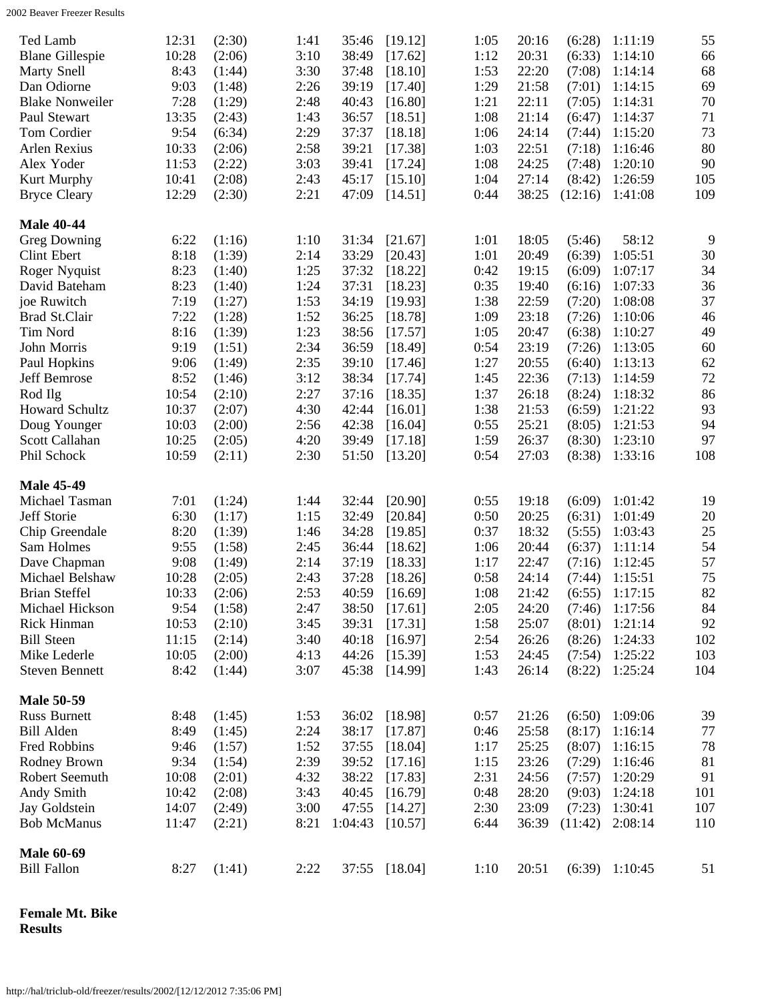<span id="page-3-0"></span>

| Ted Lamb<br><b>Blane Gillespie</b><br><b>Marty Snell</b><br>Dan Odiorne<br><b>Blake Nonweiler</b><br>Paul Stewart | 12:31<br>10:28<br>8:43<br>9:03<br>7:28<br>13:35 | (2:30)<br>(2:06)<br>(1:44)<br>(1:48)<br>(1:29)<br>(2:43) | 1:41<br>3:10<br>3:30<br>2:26<br>2:48<br>1:43 | 35:46<br>38:49<br>37:48<br>39:19<br>40:43<br>36:57 | [19.12]<br>[17.62]<br>[18.10]<br>[17.40]<br>[16.80]<br>[18.51] | 1:05<br>20:16<br>1:12<br>20:31<br>1:53<br>22:20<br>1:29<br>21:58<br>1:21<br>22:11<br>1:08<br>21:14 | (6:28)<br>(6:33)<br>(7:08)<br>(7:01)<br>(7:05)<br>(6:47) | 1:11:19<br>1:14:10<br>1:14:14<br>1:14:15<br>1:14:31<br>1:14:37 | 55<br>66<br>68<br>69<br>70<br>71 |
|-------------------------------------------------------------------------------------------------------------------|-------------------------------------------------|----------------------------------------------------------|----------------------------------------------|----------------------------------------------------|----------------------------------------------------------------|----------------------------------------------------------------------------------------------------|----------------------------------------------------------|----------------------------------------------------------------|----------------------------------|
| Tom Cordier                                                                                                       | 9:54                                            | (6:34)                                                   | 2:29                                         | 37:37                                              | [18.18]                                                        | 24:14<br>1:06                                                                                      | (7:44)                                                   | 1:15:20                                                        | 73                               |
| Arlen Rexius<br>Alex Yoder                                                                                        | 10:33<br>11:53                                  | (2:06)                                                   | 2:58<br>3:03                                 | 39:21<br>39:41                                     | [17.38]                                                        | 1:03<br>22:51<br>1:08<br>24:25                                                                     | (7:18)<br>(7:48)                                         | 1:16:46<br>1:20:10                                             | 80<br>90                         |
| Kurt Murphy                                                                                                       | 10:41                                           | (2:22)<br>(2:08)                                         | 2:43                                         | 45:17                                              | [17.24]<br>[15.10]                                             | 1:04<br>27:14                                                                                      | (8:42)                                                   | 1:26:59                                                        | 105                              |
| <b>Bryce Cleary</b>                                                                                               | 12:29                                           | (2:30)                                                   | 2:21                                         | 47:09                                              | [14.51]                                                        | 0:44<br>38:25                                                                                      | (12:16)                                                  | 1:41:08                                                        | 109                              |
| <b>Male 40-44</b>                                                                                                 |                                                 |                                                          |                                              |                                                    |                                                                |                                                                                                    |                                                          |                                                                |                                  |
| Greg Downing                                                                                                      | 6:22                                            | (1:16)                                                   | 1:10                                         | 31:34                                              | [21.67]                                                        | 1:01<br>18:05                                                                                      | (5:46)                                                   | 58:12                                                          | 9                                |
| Clint Ebert                                                                                                       | 8:18                                            | (1:39)                                                   | 2:14                                         | 33:29                                              | [20.43]                                                        | 1:01<br>20:49                                                                                      | (6:39)                                                   | 1:05:51                                                        | 30                               |
| Roger Nyquist                                                                                                     | 8:23                                            | (1:40)                                                   | 1:25                                         | 37:32                                              | [18.22]                                                        | 0:42<br>19:15                                                                                      | (6:09)                                                   | 1:07:17                                                        | 34                               |
| David Bateham                                                                                                     | 8:23                                            | (1:40)                                                   | 1:24                                         | 37:31                                              | [18.23]                                                        | 0:35<br>19:40                                                                                      | (6:16)                                                   | 1:07:33                                                        | 36                               |
| joe Ruwitch                                                                                                       | 7:19                                            | (1:27)                                                   | 1:53                                         | 34:19                                              | [19.93]                                                        | 1:38<br>22:59                                                                                      | (7:20)                                                   | 1:08:08                                                        | 37                               |
| Brad St.Clair                                                                                                     | 7:22                                            | (1:28)                                                   | 1:52                                         | 36:25                                              | [18.78]                                                        | 1:09<br>23:18                                                                                      | (7:26)                                                   | 1:10:06                                                        | 46                               |
| Tim Nord                                                                                                          | 8:16                                            | (1:39)                                                   | 1:23                                         | 38:56                                              | [17.57]                                                        | 1:05<br>20:47                                                                                      | (6:38)                                                   | 1:10:27                                                        | 49                               |
| John Morris                                                                                                       | 9:19                                            | (1:51)                                                   | 2:34                                         | 36:59                                              | [18.49]                                                        | 0:54<br>23:19                                                                                      | (7:26)                                                   | 1:13:05                                                        | 60                               |
| Paul Hopkins                                                                                                      | 9:06                                            | (1:49)                                                   | 2:35                                         | 39:10                                              | [17.46]                                                        | 1:27<br>20:55                                                                                      | (6:40)                                                   | 1:13:13                                                        | 62                               |
| Jeff Bemrose                                                                                                      | 8:52                                            | (1:46)                                                   | 3:12                                         | 38:34                                              | [17.74]                                                        | 1:45<br>22:36                                                                                      | (7:13)                                                   | 1:14:59                                                        | 72                               |
| Rod Ilg                                                                                                           | 10:54                                           | (2:10)                                                   | 2:27                                         | 37:16                                              | [18.35]                                                        | 1:37<br>26:18                                                                                      | (8:24)                                                   | 1:18:32                                                        | 86                               |
| Howard Schultz                                                                                                    | 10:37                                           | (2:07)                                                   | 4:30                                         | 42:44                                              | [16.01]                                                        | 1:38<br>21:53                                                                                      | (6:59)                                                   | 1:21:22                                                        | 93                               |
| Doug Younger                                                                                                      | 10:03                                           | (2:00)                                                   | 2:56                                         | 42:38                                              | [16.04]                                                        | 25:21<br>0:55                                                                                      | (8:05)                                                   | 1:21:53                                                        | 94                               |
| Scott Callahan                                                                                                    | 10:25                                           | (2:05)                                                   | 4:20                                         | 39:49                                              | [17.18]                                                        | 1:59<br>26:37                                                                                      | (8:30)                                                   | 1:23:10                                                        | 97                               |
| Phil Schock                                                                                                       | 10:59                                           | (2:11)                                                   | 2:30                                         | 51:50                                              | [13.20]                                                        | 0:54<br>27:03                                                                                      | (8:38)                                                   | 1:33:16                                                        | 108                              |
| <b>Male 45-49</b>                                                                                                 |                                                 |                                                          |                                              |                                                    |                                                                |                                                                                                    |                                                          |                                                                |                                  |
| Michael Tasman                                                                                                    | 7:01                                            | (1:24)                                                   | 1:44                                         | 32:44                                              | [20.90]                                                        | 0:55<br>19:18                                                                                      | (6:09)                                                   | 1:01:42                                                        | 19                               |
| Jeff Storie                                                                                                       | 6:30                                            | (1:17)                                                   | 1:15                                         | 32:49                                              | [20.84]                                                        | 0:50<br>20:25                                                                                      | (6:31)                                                   | 1:01:49                                                        | 20                               |
| Chip Greendale                                                                                                    | 8:20                                            | (1:39)                                                   | 1:46                                         | 34:28                                              | [19.85]                                                        | 0:37<br>18:32                                                                                      | (5:55)                                                   | 1:03:43                                                        | 25                               |
| Sam Holmes                                                                                                        | 9:55                                            | (1:58)                                                   | 2:45                                         | 36:44                                              | [18.62]                                                        | 1:06<br>20:44                                                                                      | (6:37)                                                   | 1:11:14                                                        | 54                               |
| Dave Chapman                                                                                                      | 9:08                                            | (1:49)                                                   | 2:14                                         | 37:19                                              | [18.33]                                                        | 22:47<br>1:17                                                                                      | (7:16)                                                   | 1:12:45                                                        | 57                               |
| Michael Belshaw                                                                                                   | 10:28                                           | (2:05)                                                   | 2:43                                         | 37:28                                              | [18.26]                                                        | 0:58<br>24:14                                                                                      | (7:44)                                                   | 1:15:51                                                        | 75                               |
| <b>Brian Steffel</b>                                                                                              | 10:33                                           | (2:06)                                                   | 2:53                                         | 40:59                                              | [16.69]                                                        | 1:08<br>21:42                                                                                      | (6:55)                                                   | 1:17:15                                                        | $82\,$                           |
| Michael Hickson                                                                                                   | 9:54                                            | (1:58)                                                   | 2:47                                         | 38:50                                              | [17.61]                                                        | 2:05<br>24:20                                                                                      | (7:46)                                                   | 1:17:56                                                        | 84                               |
| Rick Hinman                                                                                                       | 10:53                                           | (2:10)                                                   | 3:45                                         | 39:31                                              | [17.31]                                                        | 1:58<br>25:07                                                                                      | (8:01)                                                   | 1:21:14                                                        | 92                               |
| <b>Bill Steen</b>                                                                                                 | 11:15                                           | (2:14)                                                   | 3:40                                         | 40:18                                              | [16.97]                                                        | 2:54<br>26:26                                                                                      | (8:26)                                                   | 1:24:33                                                        | 102                              |
| Mike Lederle                                                                                                      | 10:05                                           | (2:00)                                                   | 4:13                                         | 44:26                                              | [15.39]                                                        | 1:53<br>24:45                                                                                      | (7:54)                                                   | 1:25:22                                                        | 103                              |
| <b>Steven Bennett</b>                                                                                             | 8:42                                            | (1:44)                                                   | 3:07                                         | 45:38                                              | [14.99]                                                        | 1:43<br>26:14                                                                                      | (8:22)                                                   | 1:25:24                                                        | 104                              |
| <b>Male 50-59</b>                                                                                                 |                                                 |                                                          |                                              |                                                    |                                                                |                                                                                                    |                                                          |                                                                |                                  |
| <b>Russ Burnett</b>                                                                                               | 8:48                                            | (1:45)                                                   | 1:53                                         | 36:02                                              | [18.98]                                                        | 0:57<br>21:26                                                                                      | (6:50)                                                   | 1:09:06                                                        | 39                               |
| <b>Bill Alden</b>                                                                                                 | 8:49                                            | (1:45)                                                   | 2:24                                         | 38:17                                              | [17.87]                                                        | 0:46<br>25:58                                                                                      | (8:17)                                                   | 1:16:14                                                        | 77                               |
| Fred Robbins                                                                                                      | 9:46                                            | (1:57)                                                   | 1:52                                         | 37:55                                              | [18.04]                                                        | 1:17<br>25:25                                                                                      | (8:07)                                                   | 1:16:15                                                        | 78                               |
| Rodney Brown                                                                                                      | 9:34                                            | (1:54)                                                   | 2:39                                         | 39:52                                              | [17.16]                                                        | 1:15<br>23:26                                                                                      | (7:29)                                                   | 1:16:46                                                        | 81                               |
| Robert Seemuth                                                                                                    | 10:08                                           | (2:01)                                                   | 4:32                                         | 38:22                                              | [17.83]                                                        | 2:31<br>24:56                                                                                      | (7:57)                                                   | 1:20:29                                                        | 91                               |
| Andy Smith                                                                                                        | 10:42                                           | (2:08)                                                   | 3:43                                         | 40:45                                              | [16.79]                                                        | 0:48<br>28:20                                                                                      | (9:03)                                                   | 1:24:18                                                        | 101                              |
| Jay Goldstein                                                                                                     | 14:07                                           | (2:49)                                                   | 3:00                                         | 47:55                                              | [14.27]                                                        | 23:09<br>2:30                                                                                      | (7:23)                                                   | 1:30:41                                                        | 107                              |
| <b>Bob McManus</b>                                                                                                | 11:47                                           | (2:21)                                                   | 8:21                                         | 1:04:43                                            | [10.57]                                                        | 6:44<br>36:39                                                                                      | (11:42)                                                  | 2:08:14                                                        | 110                              |
| <b>Male 60-69</b>                                                                                                 |                                                 |                                                          |                                              |                                                    |                                                                |                                                                                                    |                                                          |                                                                |                                  |
| <b>Bill Fallon</b>                                                                                                | 8:27                                            | (1:41)                                                   | 2:22                                         | 37:55                                              | [18.04]                                                        | 1:10<br>20:51                                                                                      | (6:39)                                                   | 1:10:45                                                        | 51                               |
|                                                                                                                   |                                                 |                                                          |                                              |                                                    |                                                                |                                                                                                    |                                                          |                                                                |                                  |

<span id="page-3-2"></span><span id="page-3-1"></span>**Female Mt. Bike Results**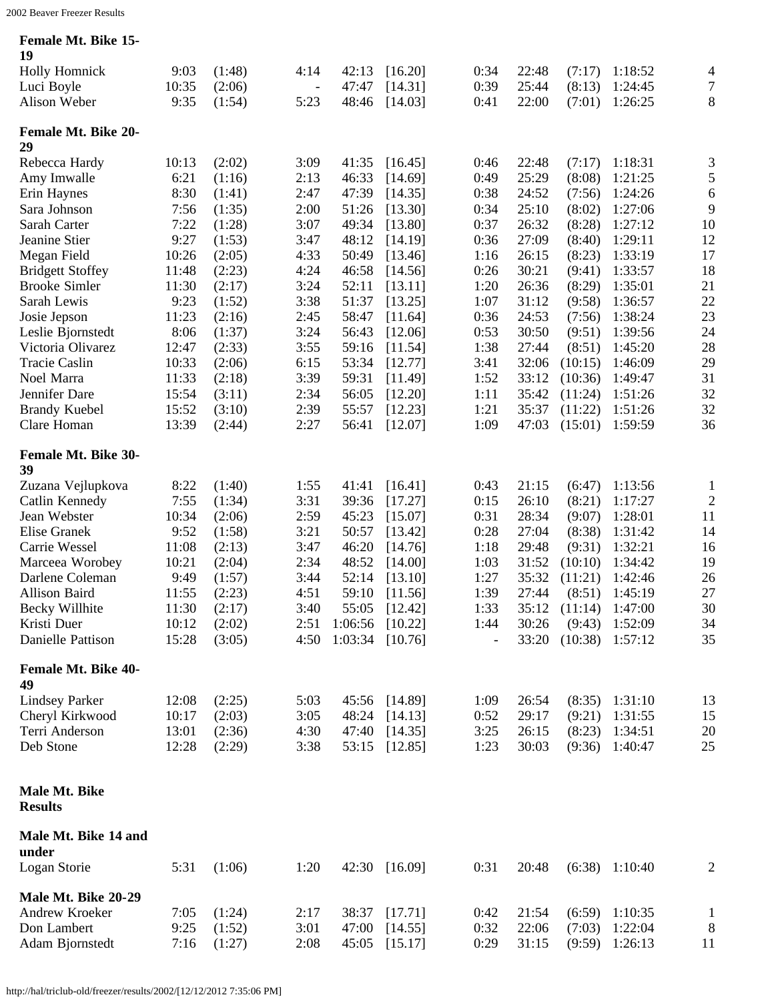| <b>Female Mt. Bike 15-</b> |  |  |
|----------------------------|--|--|
|                            |  |  |

<span id="page-4-5"></span><span id="page-4-4"></span><span id="page-4-3"></span><span id="page-4-2"></span><span id="page-4-1"></span><span id="page-4-0"></span>

| 19                                     |               |                  |                          |                   |                    |              |                |                  |                    |                  |
|----------------------------------------|---------------|------------------|--------------------------|-------------------|--------------------|--------------|----------------|------------------|--------------------|------------------|
| <b>Holly Homnick</b>                   | 9:03          | (1:48)           | 4:14                     | 42:13             | [16.20]            | 0:34         | 22:48          | (7:17)           | 1:18:52            | 4                |
| Luci Boyle                             | 10:35         | (2:06)           | $\overline{\phantom{m}}$ | 47:47             | [14.31]            | 0:39         | 25:44          | (8:13)           | 1:24:45            | $\boldsymbol{7}$ |
| Alison Weber                           | 9:35          | (1:54)           | 5:23                     | 48:46             | [14.03]            | 0:41         | 22:00          | (7:01)           | 1:26:25            | 8                |
| <b>Female Mt. Bike 20-</b>             |               |                  |                          |                   |                    |              |                |                  |                    |                  |
| 29                                     |               |                  |                          |                   |                    |              |                |                  |                    |                  |
| Rebecca Hardy                          | 10:13         | (2:02)           | 3:09                     | 41:35             | [16.45]            | 0:46         | 22:48          | (7:17)           | 1:18:31            | 3                |
| Amy Imwalle                            | 6:21          | (1:16)           | 2:13                     | 46:33             | [14.69]            | 0:49         | 25:29          | (8:08)           | 1:21:25            | 5                |
| Erin Haynes                            | 8:30          | (1:41)           | 2:47                     | 47:39             | [14.35]            | 0:38         | 24:52          | (7:56)           | 1:24:26            | 6                |
| Sara Johnson                           | 7:56          | (1:35)           | 2:00                     | 51:26             | [13.30]            | 0:34         | 25:10          | (8:02)           | 1:27:06            | 9                |
| Sarah Carter                           | 7:22          | (1:28)           | 3:07                     | 49:34             | [13.80]            | 0:37         | 26:32          | (8:28)           | 1:27:12            | 10               |
| Jeanine Stier                          | 9:27<br>10:26 | (1:53)           | 3:47<br>4:33             | 48:12<br>50:49    | [14.19]            | 0:36<br>1:16 | 27:09<br>26:15 | (8:40)<br>(8:23) | 1:29:11<br>1:33:19 | 12<br>17         |
| Megan Field<br><b>Bridgett Stoffey</b> | 11:48         | (2:05)<br>(2:23) | 4:24                     | 46:58             | [13.46]<br>[14.56] | 0:26         | 30:21          | (9:41)           | 1:33:57            | 18               |
| <b>Brooke Simler</b>                   | 11:30         | (2:17)           | 3:24                     | 52:11             | [13.11]            | 1:20         | 26:36          | (8:29)           | 1:35:01            | 21               |
| Sarah Lewis                            | 9:23          | (1:52)           | 3:38                     | 51:37             | [13.25]            | 1:07         | 31:12          | (9:58)           | 1:36:57            | 22               |
| Josie Jepson                           | 11:23         | (2:16)           | 2:45                     | 58:47             | [11.64]            | 0:36         | 24:53          | (7:56)           | 1:38:24            | 23               |
| Leslie Bjornstedt                      | 8:06          | (1:37)           | 3:24                     | 56:43             | [12.06]            | 0:53         | 30:50          | (9:51)           | 1:39:56            | 24               |
| Victoria Olivarez                      | 12:47         | (2:33)           | 3:55                     | 59:16             | [11.54]            | 1:38         | 27:44          | (8:51)           | 1:45:20            | 28               |
| <b>Tracie Caslin</b>                   | 10:33         | (2:06)           | 6:15                     | 53:34             | [12.77]            | 3:41         | 32:06          | (10:15)          | 1:46:09            | 29               |
| Noel Marra                             | 11:33         | (2:18)           | 3:39                     | 59:31             | [11.49]            | 1:52         | 33:12          | (10:36)          | 1:49:47            | 31               |
| Jennifer Dare                          | 15:54         | (3:11)           | 2:34                     | 56:05             | [12.20]            | 1:11         | 35:42          | (11:24)          | 1:51:26            | 32               |
| <b>Brandy Kuebel</b>                   | 15:52         | (3:10)           | 2:39                     | 55:57             | [12.23]            | 1:21         | 35:37          | (11:22)          | 1:51:26            | 32               |
| Clare Homan                            | 13:39         | (2:44)           | 2:27                     | 56:41             | [12.07]            | 1:09         | 47:03          | (15:01)          | 1:59:59            | 36               |
| <b>Female Mt. Bike 30-</b><br>39       |               |                  |                          |                   |                    |              |                |                  |                    |                  |
| Zuzana Vejlupkova                      | 8:22          | (1:40)           | 1:55                     | 41:41             | [16.41]            | 0:43         | 21:15          | (6:47)           | 1:13:56            | $\mathbf{1}$     |
| Catlin Kennedy                         | 7:55          | (1:34)           | 3:31                     | 39:36             | [17.27]            | 0:15         | 26:10          | (8:21)           | 1:17:27            | $\overline{c}$   |
| Jean Webster                           | 10:34         | (2:06)           | 2:59                     | 45:23             | [15.07]            | 0:31         | 28:34          | (9:07)           | 1:28:01            | 11               |
| Elise Granek                           | 9:52          | (1:58)           | 3:21                     | 50:57             | [13.42]            | 0:28         | 27:04          | (8:38)           | 1:31:42            | 14               |
| Carrie Wessel                          | 11:08         | (2:13)           | 3:47                     | 46:20             | [14.76]            | 1:18         | 29:48          | (9:31)           | 1:32:21            | 16               |
| Marceea Worobey                        | 10:21         | (2:04)           | 2:34                     | 48:52             | [14.00]            | 1:03         | 31:52          | (10:10)          | 1:34:42            | 19               |
| Darlene Coleman                        | 9:49          | (1:57)           | 3:44                     | 52:14             | [13.10]            | 1:27         | 35:32          | (11:21)          | 1:42:46            | 26               |
| Allison Baird                          | 11:55         | (2:23)           | 4:51                     | 59:10             | [11.56]            | 1:39         | 27:44          | (8:51)           | 1:45:19            | 27               |
| <b>Becky Willhite</b>                  | 11:30         | (2:17)           | 3:40                     | 55:05             | [12.42]            | 1:33         | 35:12          | (11:14)          | 1:47:00            | 30               |
| Kristi Duer                            | 10:12         | (2:02)           | 2:51                     | $1:06:56$ [10.22] |                    | 1:44         | 30:26          | (9:43)           | 1:52:09            | 34               |
| Danielle Pattison                      | 15:28         | (3:05)           | 4:50                     | 1:03:34           | [10.76]            |              | 33:20          | (10:38)          | 1:57:12            | 35               |
| <b>Female Mt. Bike 40-</b><br>49       |               |                  |                          |                   |                    |              |                |                  |                    |                  |
| <b>Lindsey Parker</b>                  | 12:08         | (2:25)           | 5:03                     | 45:56             | [14.89]            | 1:09         | 26:54          | (8:35)           | 1:31:10            | 13               |
| Cheryl Kirkwood                        | 10:17         | (2:03)           | 3:05                     | 48:24             | [14.13]            | 0:52         | 29:17          | (9:21)           | 1:31:55            | 15               |
| Terri Anderson                         | 13:01         | (2:36)           | 4:30                     | 47:40             | [14.35]            | 3:25         | 26:15          | (8:23)           | 1:34:51            | 20               |
| Deb Stone                              | 12:28         | (2:29)           | 3:38                     | 53:15             | [12.85]            | 1:23         | 30:03          | (9:36)           | 1:40:47            | 25               |
| Male Mt. Bike<br><b>Results</b>        |               |                  |                          |                   |                    |              |                |                  |                    |                  |
|                                        |               |                  |                          |                   |                    |              |                |                  |                    |                  |
| Male Mt. Bike 14 and<br>under          |               |                  |                          |                   |                    |              |                |                  |                    |                  |
| Logan Storie                           | 5:31          | (1:06)           | 1:20                     |                   | 42:30 [16.09]      | 0:31         | 20:48          |                  | $(6:38)$ 1:10:40   | $\overline{2}$   |
| Male Mt. Bike 20-29                    |               |                  |                          |                   |                    |              |                |                  |                    |                  |
| Andrew Kroeker                         | 7:05          | (1:24)           | 2:17                     | 38:37             | [17.71]            | 0:42         | 21:54          | (6:59)           | 1:10:35            | $\mathbf{1}$     |
| Don Lambert                            | 9:25          | (1:52)           | 3:01                     | 47:00             | [14.55]            | 0:32         | 22:06          | (7:03)           | 1:22:04            | 8                |
| Adam Bjornstedt                        | 7:16          | (1:27)           | 2:08                     | 45:05             | [15.17]            | 0:29         | 31:15          | (9:59)           | 1:26:13            | 11               |